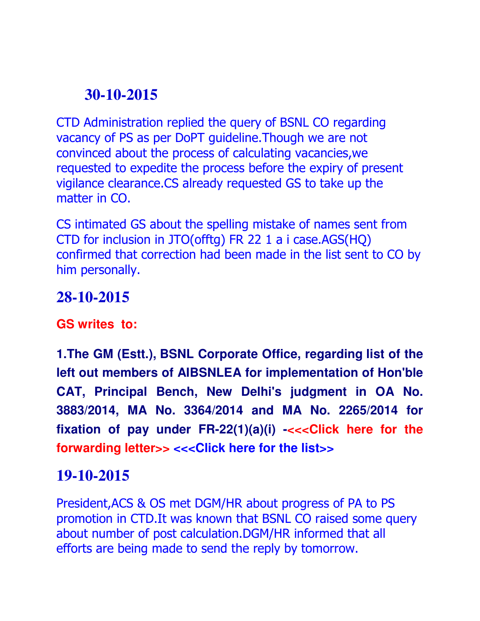# **30-10-2015**

CTD Administration replied the query of BSNL CO regarding vacancy of PS as per DoPT guideline.Though we are not convinced about the process of calculating vacancies,we requested to expedite the process before the expiry of present vigilance clearance.CS already requested GS to take up the matter in CO.

CS intimated GS about the spelling mistake of names sent from CTD for inclusion in JTO(offtg) FR 22 1 a i case.AGS(HQ) confirmed that correction had been made in the list sent to CO by him personally.

#### **28-10-2015**

**GS writes to:**

**1.The GM (Estt.), BSNL Corporate Office, regarding list of the left out members of AIBSNLEA for implementation of Hon'ble CAT, Principal Bench, New Delhi's judgment in OA No. 3883/2014, MA No. 3364/2014 and MA No. 2265/2014 for fixation of pay under FR-22(1)(a)(i) -<<<Click here for the forwarding letter>> <<<Click here for the list>>**

## **19-10-2015**

President,ACS & OS met DGM/HR about progress of PA to PS promotion in CTD.It was known that BSNL CO raised some query about number of post calculation.DGM/HR informed that all efforts are being made to send the reply by tomorrow.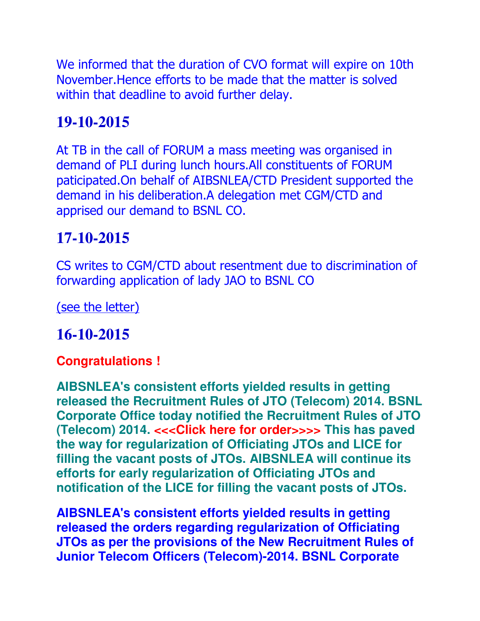We informed that the duration of CVO format will expire on 10th November.Hence efforts to be made that the matter is solved within that deadline to avoid further delay.

### **19-10-2015**

At TB in the call of FORUM a mass meeting was organised in demand of PLI during lunch hours.All constituents of FORUM paticipated.On behalf of AIBSNLEA/CTD President supported the demand in his deliberation.A delegation met CGM/CTD and apprised our demand to BSNL CO.

# **17-10-2015**

CS writes to CGM/CTD about resentment due to discrimination of forwarding application of lady JAO to BSNL CO

(see the letter)

## **16-10-2015**

#### **Congratulations !**

**AIBSNLEA's consistent efforts yielded results in getting released the Recruitment Rules of JTO (Telecom) 2014. BSNL Corporate Office today notified the Recruitment Rules of JTO (Telecom) 2014. <<<Click here for order>>>> This has paved the way for regularization of Officiating JTOs and LICE for filling the vacant posts of JTOs. AIBSNLEA will continue its efforts for early regularization of Officiating JTOs and notification of the LICE for filling the vacant posts of JTOs.**

**AIBSNLEA's consistent efforts yielded results in getting released the orders regarding regularization of Officiating JTOs as per the provisions of the New Recruitment Rules of Junior Telecom Officers (Telecom)-2014. BSNL Corporate**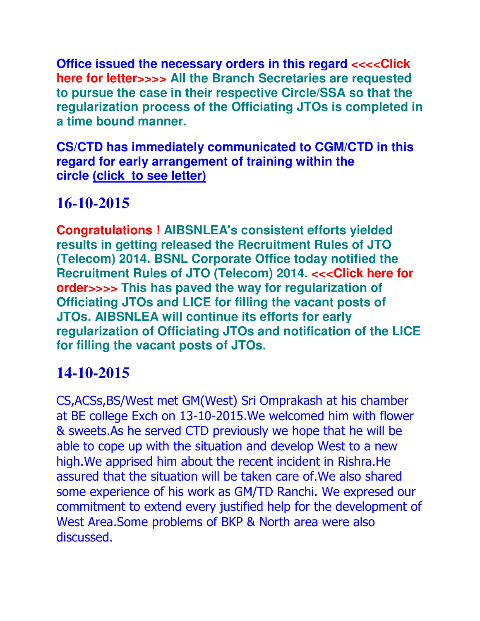**Office issued the necessary orders in this regard**  $<<$  **Click here for letter>>>> All the Branch Secretaries are requested to pursue the case in their respective Circle/SSA so that the regularization process of the Officiating JTOs is completed in a time bound manner.**

**CS/CTD has immediately communicated to CGM/CTD in this regard for early arrangement of training within the circle (click to see letter)**

# **16-10-2015**

**Congratulations ! AIBSNLEA's consistent efforts yielded results in getting released the Recruitment Rules of JTO (Telecom) 2014. BSNL Corporate Office today notified the Recruitment Rules of JTO (Telecom) 2014. <<<Click here for order>>>> This has paved the way for regularization of Officiating JTOs and LICE for filling the vacant posts of JTOs. AIBSNLEA will continue its efforts for early regularization of Officiating JTOs and notification of the LICE for filling the vacant posts of JTOs.**

# **14-10-2015**

CS,ACSs,BS/West met GM(West) Sri Omprakash at his chamber at BE college Exch on 13-10-2015.We welcomed him with flower & sweets.As he served CTD previously we hope that he will be able to cope up with the situation and develop West to a new high.We apprised him about the recent incident in Rishra.He assured that the situation will be taken care of.We also shared some experience of his work as GM/TD Ranchi. We expresed our commitment to extend every justified help for the development of West Area.Some problems of BKP & North area were also discussed.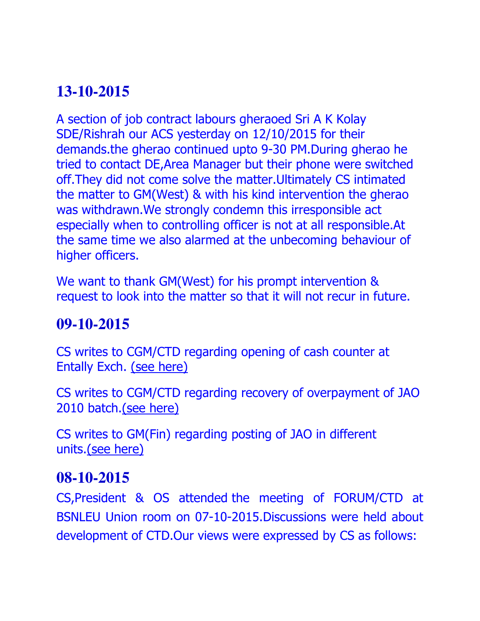# **13-10-2015**

A section of job contract labours gheraoed Sri A K Kolay SDE/Rishrah our ACS yesterday on 12/10/2015 for their demands.the gherao continued upto 9-30 PM.During gherao he tried to contact DE,Area Manager but their phone were switched off.They did not come solve the matter.Ultimately CS intimated the matter to GM(West) & with his kind intervention the gherao was withdrawn.We strongly condemn this irresponsible act especially when to controlling officer is not at all responsible.At the same time we also alarmed at the unbecoming behaviour of higher officers.

We want to thank GM(West) for his prompt intervention & request to look into the matter so that it will not recur in future.

### **09-10-2015**

CS writes to CGM/CTD regarding opening of cash counter at Entally Exch. (see here)

CS writes to CGM/CTD regarding recovery of overpayment of JAO 2010 batch.(see here)

CS writes to GM(Fin) regarding posting of JAO in different units.(see here)

#### **08-10-2015**

CS,President & OS attended the meeting of FORUM/CTD at BSNLEU Union room on 07-10-2015.Discussions were held about development of CTD.Our views were expressed by CS as follows: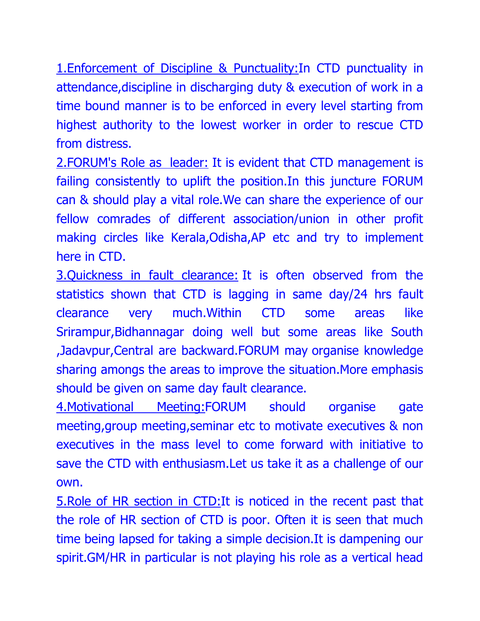1.Enforcement of Discipline & Punctuality:In CTD punctuality in attendance,discipline in discharging duty & execution of work in a time bound manner is to be enforced in every level starting from highest authority to the lowest worker in order to rescue CTD from distress.

2.FORUM's Role as leader: It is evident that CTD management is failing consistently to uplift the position.In this juncture FORUM can & should play a vital role.We can share the experience of our fellow comrades of different association/union in other profit making circles like Kerala,Odisha,AP etc and try to implement here in CTD.

3.Quickness in fault clearance: It is often observed from the statistics shown that CTD is lagging in same day/24 hrs fault clearance very much.Within CTD some areas like Srirampur,Bidhannagar doing well but some areas like South ,Jadavpur,Central are backward.FORUM may organise knowledge sharing amongs the areas to improve the situation.More emphasis should be given on same day fault clearance.

4.Motivational Meeting:FORUM should organise gate meeting,group meeting,seminar etc to motivate executives & non executives in the mass level to come forward with initiative to save the CTD with enthusiasm.Let us take it as a challenge of our own.

5.Role of HR section in CTD:It is noticed in the recent past that the role of HR section of CTD is poor. Often it is seen that much time being lapsed for taking a simple decision.It is dampening our spirit.GM/HR in particular is not playing his role as a vertical head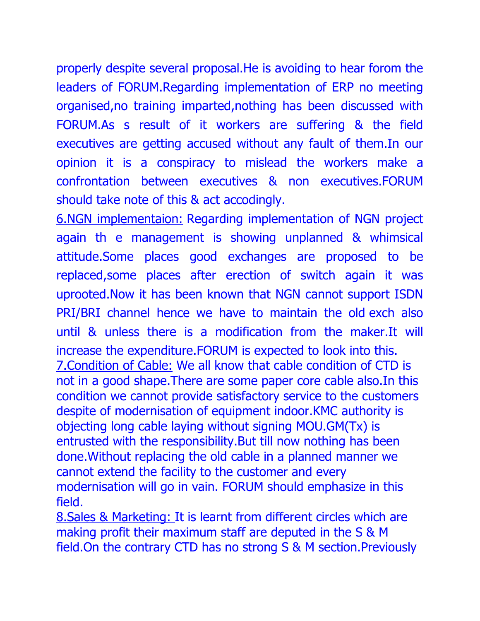properly despite several proposal.He is avoiding to hear forom the leaders of FORUM.Regarding implementation of ERP no meeting organised,no training imparted,nothing has been discussed with FORUM.As s result of it workers are suffering & the field executives are getting accused without any fault of them.In our opinion it is a conspiracy to mislead the workers make a confrontation between executives & non executives.FORUM should take note of this & act accodingly.

6.NGN implementaion: Regarding implementation of NGN project again th e management is showing unplanned & whimsical attitude.Some places good exchanges are proposed to be replaced,some places after erection of switch again it was uprooted.Now it has been known that NGN cannot support ISDN PRI/BRI channel hence we have to maintain the old exch also until & unless there is a modification from the maker.It will increase the expenditure.FORUM is expected to look into this. 7.Condition of Cable: We all know that cable condition of CTD is not in a good shape.There are some paper core cable also.In this condition we cannot provide satisfactory service to the customers despite of modernisation of equipment indoor.KMC authority is objecting long cable laying without signing MOU.GM(Tx) is entrusted with the responsibility.But till now nothing has been done.Without replacing the old cable in a planned manner we cannot extend the facility to the customer and every modernisation will go in vain. FORUM should emphasize in this field.

8.Sales & Marketing: It is learnt from different circles which are making profit their maximum staff are deputed in the S & M field.On the contrary CTD has no strong S & M section.Previously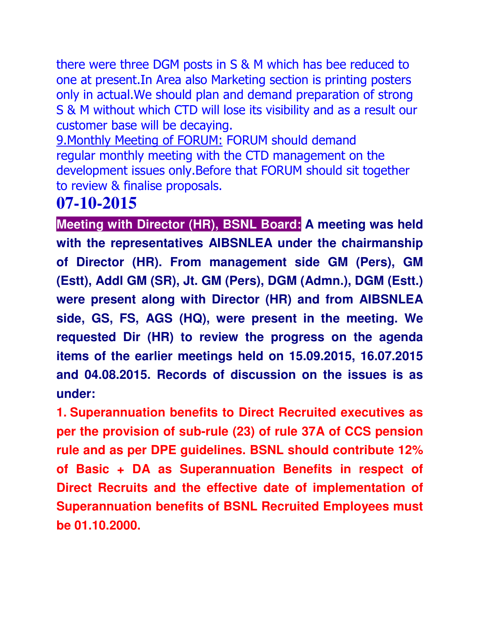there were three DGM posts in S & M which has bee reduced to one at present.In Area also Marketing section is printing posters only in actual.We should plan and demand preparation of strong S & M without which CTD will lose its visibility and as a result our customer base will be decaying.

9.Monthly Meeting of FORUM: FORUM should demand regular monthly meeting with the CTD management on the development issues only.Before that FORUM should sit together to review & finalise proposals.

### **07-10-2015**

**Meeting with Director (HR), BSNL Board: A meeting was held with the representatives AIBSNLEA under the chairmanship of Director (HR). From management side GM (Pers), GM (Estt), Addl GM (SR), Jt. GM (Pers), DGM (Admn.), DGM (Estt.) were present along with Director (HR) and from AIBSNLEA side, GS, FS, AGS (HQ), were present in the meeting. We requested Dir (HR) to review the progress on the agenda items of the earlier meetings held on 15.09.2015, 16.07.2015 and 04.08.2015. Records of discussion on the issues is as under:**

**1. Superannuation benefits to Direct Recruited executives as per the provision of sub-rule (23) of rule 37A of CCS pension rule and as per DPE guidelines. BSNL should contribute 12% of Basic + DA as Superannuation Benefits in respect of Direct Recruits and the effective date of implementation of Superannuation benefits of BSNL Recruited Employees must be 01.10.2000.**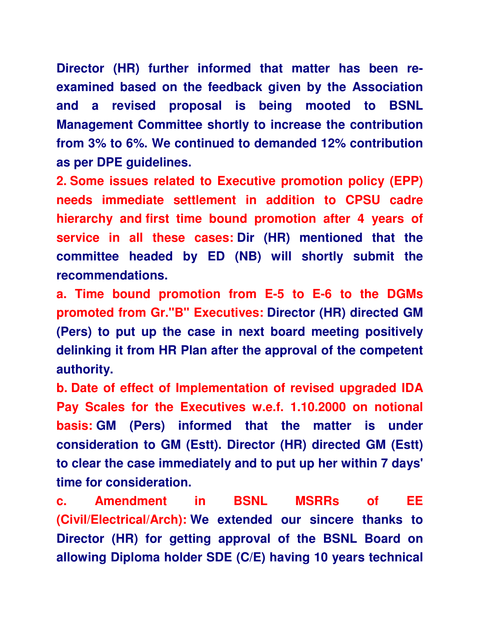**Director (HR) further informed that matter has been reexamined based on the feedback given by the Association and a revised proposal is being mooted to BSNL Management Committee shortly to increase the contribution from 3% to 6%. We continued to demanded 12% contribution as per DPE guidelines.**

**2. Some issues related to Executive promotion policy (EPP) needs immediate settlement in addition to CPSU cadre hierarchy and first time bound promotion after 4 years of service in all these cases: Dir (HR) mentioned that the committee headed by ED (NB) will shortly submit the recommendations.**

**a. Time bound promotion from E-5 to E-6 to the DGMs promoted from Gr."B" Executives: Director (HR) directed GM (Pers) to put up the case in next board meeting positively delinking it from HR Plan after the approval of the competent authority.**

**b. Date of effect of Implementation of revised upgraded IDA Pay Scales for the Executives w.e.f. 1.10.2000 on notional basis: GM (Pers) informed that the matter is under consideration to GM (Estt). Director (HR) directed GM (Estt) to clear the case immediately and to put up her within 7 days' time for consideration.**

**c. Amendment in BSNL MSRRs of EE (Civil/Electrical/Arch): We extended our sincere thanks to Director (HR) for getting approval of the BSNL Board on allowing Diploma holder SDE (C/E) having 10 years technical**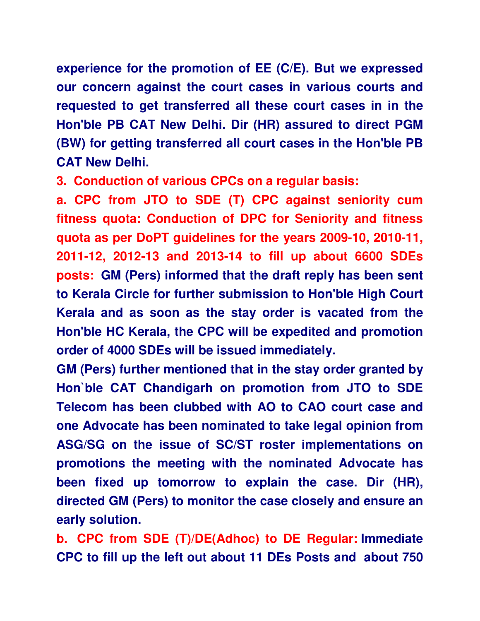**experience for the promotion of EE (C/E). But we expressed our concern against the court cases in various courts and requested to get transferred all these court cases in in the Hon'ble PB CAT New Delhi. Dir (HR) assured to direct PGM (BW) for getting transferred all court cases in the Hon'ble PB CAT New Delhi.**

**3. Conduction of various CPCs on a regular basis:**

**a. CPC from JTO to SDE (T) CPC against seniority cum fitness quota: Conduction of DPC for Seniority and fitness quota as per DoPT guidelines for the years 2009-10, 2010-11, 2011-12, 2012-13 and 2013-14 to fill up about 6600 SDEs posts: GM (Pers) informed that the draft reply has been sent to Kerala Circle for further submission to Hon'ble High Court Kerala and as soon as the stay order is vacated from the Hon'ble HC Kerala, the CPC will be expedited and promotion order of 4000 SDEs will be issued immediately.** 

**GM (Pers) further mentioned that in the stay order granted by Hon`ble CAT Chandigarh on promotion from JTO to SDE Telecom has been clubbed with AO to CAO court case and one Advocate has been nominated to take legal opinion from ASG/SG on the issue of SC/ST roster implementations on promotions the meeting with the nominated Advocate has been fixed up tomorrow to explain the case. Dir (HR), directed GM (Pers) to monitor the case closely and ensure an early solution.**

**b. CPC from SDE (T)/DE(Adhoc) to DE Regular: Immediate CPC to fill up the left out about 11 DEs Posts and about 750**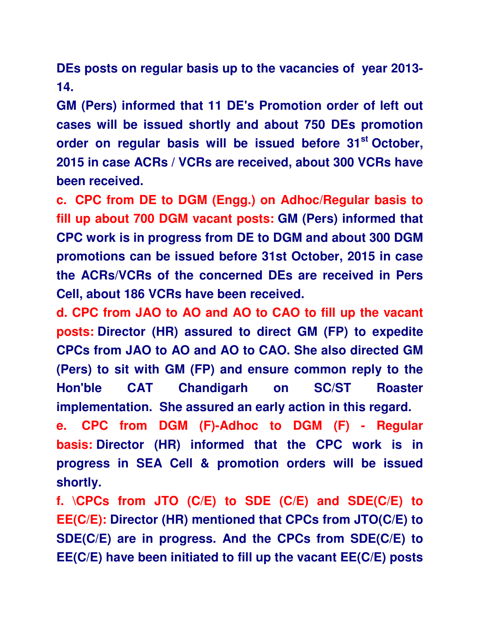**DEs posts on regular basis up to the vacancies of year 2013- 14.**

**GM (Pers) informed that 11 DE's Promotion order of left out cases will be issued shortly and about 750 DEs promotion order on regular basis will be issued before 31st October, 2015 in case ACRs / VCRs are received, about 300 VCRs have been received.** 

**c. CPC from DE to DGM (Engg.) on Adhoc/Regular basis to fill up about 700 DGM vacant posts: GM (Pers) informed that CPC work is in progress from DE to DGM and about 300 DGM promotions can be issued before 31st October, 2015 in case the ACRs/VCRs of the concerned DEs are received in Pers Cell, about 186 VCRs have been received.**

**d. CPC from JAO to AO and AO to CAO to fill up the vacant posts: Director (HR) assured to direct GM (FP) to expedite CPCs from JAO to AO and AO to CAO. She also directed GM (Pers) to sit with GM (FP) and ensure common reply to the Hon'ble CAT Chandigarh on SC/ST Roaster implementation. She assured an early action in this regard.**

**e. CPC from DGM (F)-Adhoc to DGM (F) - Regular basis: Director (HR) informed that the CPC work is in progress in SEA Cell & promotion orders will be issued shortly.**

**f. \CPCs from JTO (C/E) to SDE (C/E) and SDE(C/E) to EE(C/E): Director (HR) mentioned that CPCs from JTO(C/E) to SDE(C/E) are in progress. And the CPCs from SDE(C/E) to EE(C/E) have been initiated to fill up the vacant EE(C/E) posts**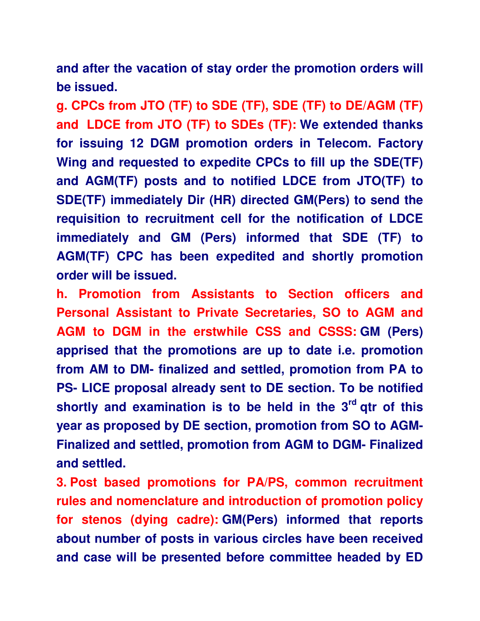**and after the vacation of stay order the promotion orders will be issued.**

**g. CPCs from JTO (TF) to SDE (TF), SDE (TF) to DE/AGM (TF) and LDCE from JTO (TF) to SDEs (TF): We extended thanks for issuing 12 DGM promotion orders in Telecom. Factory Wing and requested to expedite CPCs to fill up the SDE(TF) and AGM(TF) posts and to notified LDCE from JTO(TF) to SDE(TF) immediately Dir (HR) directed GM(Pers) to send the requisition to recruitment cell for the notification of LDCE immediately and GM (Pers) informed that SDE (TF) to AGM(TF) CPC has been expedited and shortly promotion order will be issued.**

**h. Promotion from Assistants to Section officers and Personal Assistant to Private Secretaries, SO to AGM and AGM to DGM in the erstwhile CSS and CSSS: GM (Pers) apprised that the promotions are up to date i.e. promotion from AM to DM- finalized and settled, promotion from PA to PS- LICE proposal already sent to DE section. To be notified shortly and examination is to be held in the 3rd qtr of this year as proposed by DE section, promotion from SO to AGM-Finalized and settled, promotion from AGM to DGM- Finalized and settled.**

**3. Post based promotions for PA/PS, common recruitment rules and nomenclature and introduction of promotion policy for stenos (dying cadre): GM(Pers) informed that reports about number of posts in various circles have been received and case will be presented before committee headed by ED**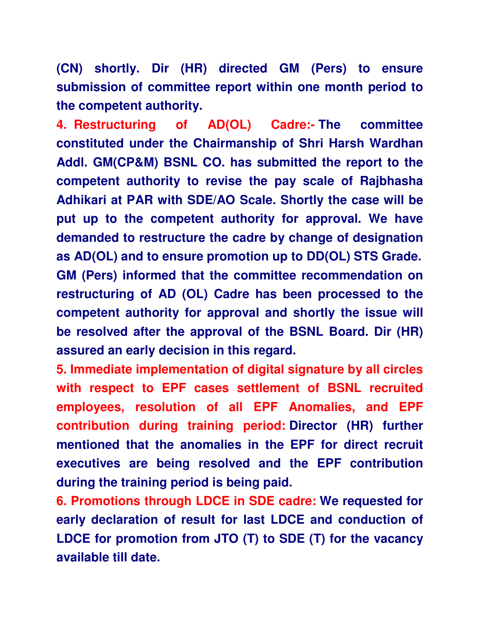**(CN) shortly. Dir (HR) directed GM (Pers) to ensure submission of committee report within one month period to the competent authority.**

**4. Restructuring of AD(OL) Cadre:- The committee constituted under the Chairmanship of Shri Harsh Wardhan Addl. GM(CP&M) BSNL CO. has submitted the report to the competent authority to revise the pay scale of Rajbhasha Adhikari at PAR with SDE/AO Scale. Shortly the case will be put up to the competent authority for approval. We have demanded to restructure the cadre by change of designation as AD(OL) and to ensure promotion up to DD(OL) STS Grade. GM (Pers) informed that the committee recommendation on restructuring of AD (OL) Cadre has been processed to the competent authority for approval and shortly the issue will be resolved after the approval of the BSNL Board. Dir (HR) assured an early decision in this regard.**

**5. Immediate implementation of digital signature by all circles with respect to EPF cases settlement of BSNL recruited employees, resolution of all EPF Anomalies, and EPF contribution during training period: Director (HR) further mentioned that the anomalies in the EPF for direct recruit executives are being resolved and the EPF contribution during the training period is being paid.**

**6. Promotions through LDCE in SDE cadre: We requested for early declaration of result for last LDCE and conduction of LDCE for promotion from JTO (T) to SDE (T) for the vacancy available till date.**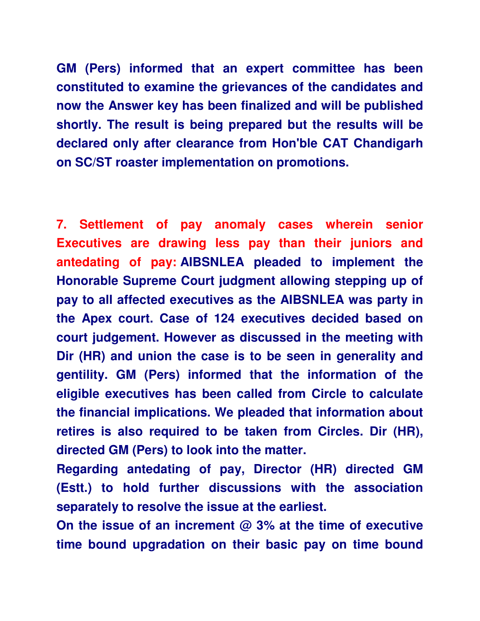**GM (Pers) informed that an expert committee has been constituted to examine the grievances of the candidates and now the Answer key has been finalized and will be published shortly. The result is being prepared but the results will be declared only after clearance from Hon'ble CAT Chandigarh on SC/ST roaster implementation on promotions.**

**7. Settlement of pay anomaly cases wherein senior Executives are drawing less pay than their juniors and antedating of pay: AIBSNLEA pleaded to implement the Honorable Supreme Court judgment allowing stepping up of pay to all affected executives as the AIBSNLEA was party in the Apex court. Case of 124 executives decided based on court judgement. However as discussed in the meeting with Dir (HR) and union the case is to be seen in generality and gentility. GM (Pers) informed that the information of the eligible executives has been called from Circle to calculate the financial implications. We pleaded that information about retires is also required to be taken from Circles. Dir (HR), directed GM (Pers) to look into the matter.**

**Regarding antedating of pay, Director (HR) directed GM (Estt.) to hold further discussions with the association separately to resolve the issue at the earliest.**

**On the issue of an increment @ 3% at the time of executive time bound upgradation on their basic pay on time bound**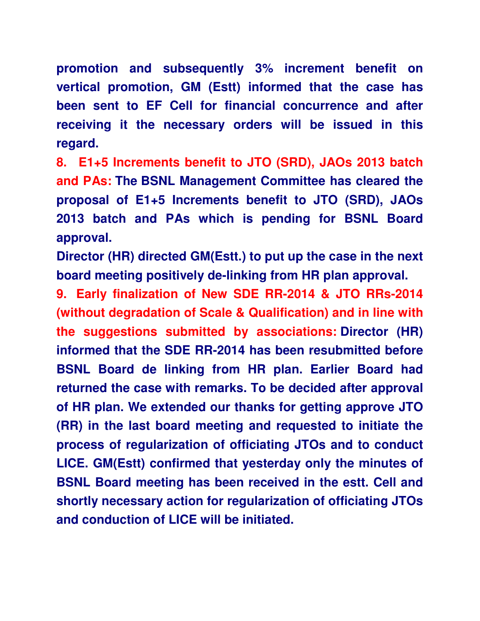**promotion and subsequently 3% increment benefit on vertical promotion, GM (Estt) informed that the case has been sent to EF Cell for financial concurrence and after receiving it the necessary orders will be issued in this regard.**

**8. E1+5 Increments benefit to JTO (SRD), JAOs 2013 batch and PAs: The BSNL Management Committee has cleared the proposal of E1+5 Increments benefit to JTO (SRD), JAOs 2013 batch and PAs which is pending for BSNL Board approval.**

**Director (HR) directed GM(Estt.) to put up the case in the next board meeting positively de-linking from HR plan approval.**

**9. Early finalization of New SDE RR-2014 & JTO RRs-2014 (without degradation of Scale & Qualification) and in line with the suggestions submitted by associations: Director (HR) informed that the SDE RR-2014 has been resubmitted before BSNL Board de linking from HR plan. Earlier Board had returned the case with remarks. To be decided after approval of HR plan. We extended our thanks for getting approve JTO (RR) in the last board meeting and requested to initiate the process of regularization of officiating JTOs and to conduct LICE. GM(Estt) confirmed that yesterday only the minutes of BSNL Board meeting has been received in the estt. Cell and shortly necessary action for regularization of officiating JTOs and conduction of LICE will be initiated.**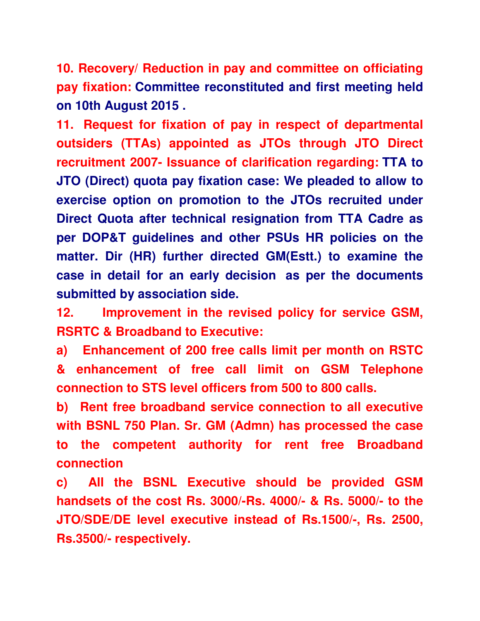**10. Recovery/ Reduction in pay and committee on officiating pay fixation: Committee reconstituted and first meeting held on 10th August 2015 .**

**11. Request for fixation of pay in respect of departmental outsiders (TTAs) appointed as JTOs through JTO Direct recruitment 2007- Issuance of clarification regarding: TTA to JTO (Direct) quota pay fixation case: We pleaded to allow to exercise option on promotion to the JTOs recruited under Direct Quota after technical resignation from TTA Cadre as per DOP&T guidelines and other PSUs HR policies on the matter. Dir (HR) further directed GM(Estt.) to examine the case in detail for an early decision as per the documents submitted by association side.**

**12. Improvement in the revised policy for service GSM, RSRTC & Broadband to Executive:**

**a) Enhancement of 200 free calls limit per month on RSTC & enhancement of free call limit on GSM Telephone connection to STS level officers from 500 to 800 calls.**

**b) Rent free broadband service connection to all executive with BSNL 750 Plan. Sr. GM (Admn) has processed the case to the competent authority for rent free Broadband connection**

**c) All the BSNL Executive should be provided GSM handsets of the cost Rs. 3000/-Rs. 4000/- & Rs. 5000/- to the JTO/SDE/DE level executive instead of Rs.1500/-, Rs. 2500, Rs.3500/- respectively.**